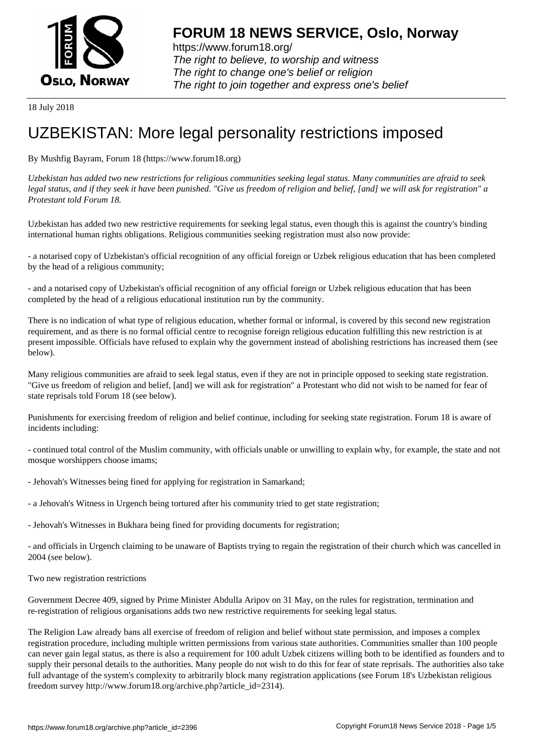

https://www.forum18.org/ The right to believe, to worship and witness The right to change one's belief or religion [The right to join together a](https://www.forum18.org/)nd express one's belief

18 July 2018

## [UZBEKISTAN:](https://www.forum18.org) More legal personality restrictions imposed

By Mushfig Bayram, Forum 18 (https://www.forum18.org)

*Uzbekistan has added two new restrictions for religious communities seeking legal status. Many communities are afraid to seek legal status, and if they seek it have been punished. "Give us freedom of religion and belief, [and] we will ask for registration" a Protestant told Forum 18.*

Uzbekistan has added two new restrictive requirements for seeking legal status, even though this is against the country's binding international human rights obligations. Religious communities seeking registration must also now provide:

- a notarised copy of Uzbekistan's official recognition of any official foreign or Uzbek religious education that has been completed by the head of a religious community;

- and a notarised copy of Uzbekistan's official recognition of any official foreign or Uzbek religious education that has been completed by the head of a religious educational institution run by the community.

There is no indication of what type of religious education, whether formal or informal, is covered by this second new registration requirement, and as there is no formal official centre to recognise foreign religious education fulfilling this new restriction is at present impossible. Officials have refused to explain why the government instead of abolishing restrictions has increased them (see below).

Many religious communities are afraid to seek legal status, even if they are not in principle opposed to seeking state registration. "Give us freedom of religion and belief, [and] we will ask for registration" a Protestant who did not wish to be named for fear of state reprisals told Forum 18 (see below).

Punishments for exercising freedom of religion and belief continue, including for seeking state registration. Forum 18 is aware of incidents including:

- continued total control of the Muslim community, with officials unable or unwilling to explain why, for example, the state and not mosque worshippers choose imams;

- Jehovah's Witnesses being fined for applying for registration in Samarkand;
- a Jehovah's Witness in Urgench being tortured after his community tried to get state registration;
- Jehovah's Witnesses in Bukhara being fined for providing documents for registration;

- and officials in Urgench claiming to be unaware of Baptists trying to regain the registration of their church which was cancelled in 2004 (see below).

Two new registration restrictions

Government Decree 409, signed by Prime Minister Abdulla Aripov on 31 May, on the rules for registration, termination and re-registration of religious organisations adds two new restrictive requirements for seeking legal status.

The Religion Law already bans all exercise of freedom of religion and belief without state permission, and imposes a complex registration procedure, including multiple written permissions from various state authorities. Communities smaller than 100 people can never gain legal status, as there is also a requirement for 100 adult Uzbek citizens willing both to be identified as founders and to supply their personal details to the authorities. Many people do not wish to do this for fear of state reprisals. The authorities also take full advantage of the system's complexity to arbitrarily block many registration applications (see Forum 18's Uzbekistan religious freedom survey http://www.forum18.org/archive.php?article\_id=2314).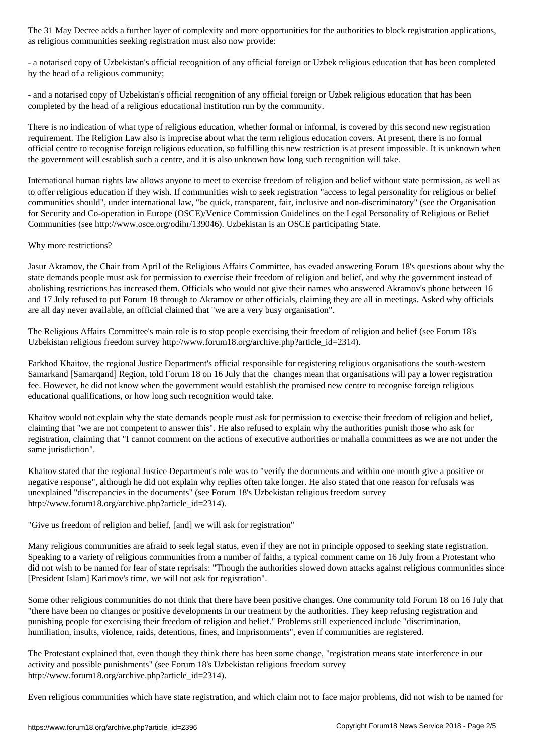as religious communities seeking registration must also now provide:

- a notarised copy of Uzbekistan's official recognition of any official foreign or Uzbek religious education that has been completed by the head of a religious community;

- and a notarised copy of Uzbekistan's official recognition of any official foreign or Uzbek religious education that has been completed by the head of a religious educational institution run by the community.

There is no indication of what type of religious education, whether formal or informal, is covered by this second new registration requirement. The Religion Law also is imprecise about what the term religious education covers. At present, there is no formal official centre to recognise foreign religious education, so fulfilling this new restriction is at present impossible. It is unknown when the government will establish such a centre, and it is also unknown how long such recognition will take.

International human rights law allows anyone to meet to exercise freedom of religion and belief without state permission, as well as to offer religious education if they wish. If communities wish to seek registration "access to legal personality for religious or belief communities should", under international law, "be quick, transparent, fair, inclusive and non-discriminatory" (see the Organisation for Security and Co-operation in Europe (OSCE)/Venice Commission Guidelines on the Legal Personality of Religious or Belief Communities (see http://www.osce.org/odihr/139046). Uzbekistan is an OSCE participating State.

## Why more restrictions?

Jasur Akramov, the Chair from April of the Religious Affairs Committee, has evaded answering Forum 18's questions about why the state demands people must ask for permission to exercise their freedom of religion and belief, and why the government instead of abolishing restrictions has increased them. Officials who would not give their names who answered Akramov's phone between 16 and 17 July refused to put Forum 18 through to Akramov or other officials, claiming they are all in meetings. Asked why officials are all day never available, an official claimed that "we are a very busy organisation".

The Religious Affairs Committee's main role is to stop people exercising their freedom of religion and belief (see Forum 18's Uzbekistan religious freedom survey http://www.forum18.org/archive.php?article\_id=2314).

Farkhod Khaitov, the regional Justice Department's official responsible for registering religious organisations the south-western Samarkand [Samarqand] Region, told Forum 18 on 16 July that the changes mean that organisations will pay a lower registration fee. However, he did not know when the government would establish the promised new centre to recognise foreign religious educational qualifications, or how long such recognition would take.

Khaitov would not explain why the state demands people must ask for permission to exercise their freedom of religion and belief, claiming that "we are not competent to answer this". He also refused to explain why the authorities punish those who ask for registration, claiming that "I cannot comment on the actions of executive authorities or mahalla committees as we are not under the same jurisdiction".

Khaitov stated that the regional Justice Department's role was to "verify the documents and within one month give a positive or negative response", although he did not explain why replies often take longer. He also stated that one reason for refusals was unexplained "discrepancies in the documents" (see Forum 18's Uzbekistan religious freedom survey http://www.forum18.org/archive.php?article\_id=2314).

"Give us freedom of religion and belief, [and] we will ask for registration"

Many religious communities are afraid to seek legal status, even if they are not in principle opposed to seeking state registration. Speaking to a variety of religious communities from a number of faiths, a typical comment came on 16 July from a Protestant who did not wish to be named for fear of state reprisals: "Though the authorities slowed down attacks against religious communities since [President Islam] Karimov's time, we will not ask for registration".

Some other religious communities do not think that there have been positive changes. One community told Forum 18 on 16 July that "there have been no changes or positive developments in our treatment by the authorities. They keep refusing registration and punishing people for exercising their freedom of religion and belief." Problems still experienced include "discrimination, humiliation, insults, violence, raids, detentions, fines, and imprisonments", even if communities are registered.

The Protestant explained that, even though they think there has been some change, "registration means state interference in our activity and possible punishments" (see Forum 18's Uzbekistan religious freedom survey http://www.forum18.org/archive.php?article\_id=2314).

Even religious communities which have state registration, and which claim not to face major problems, did not wish to be named for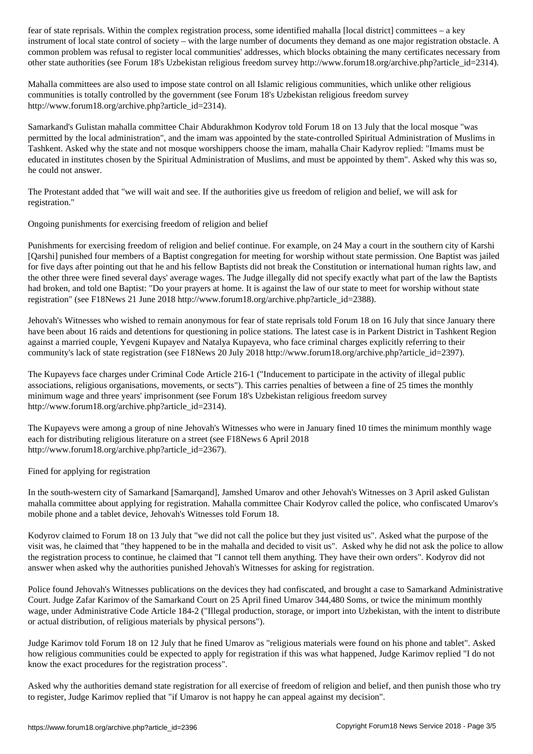instrument of local state control of society – with the large number of documents they demand as one major registration obstacle. A common problem was refusal to register local communities' addresses, which blocks obtaining the many certificates necessary from other state authorities (see Forum 18's Uzbekistan religious freedom survey http://www.forum18.org/archive.php?article\_id=2314).

Mahalla committees are also used to impose state control on all Islamic religious communities, which unlike other religious communities is totally controlled by the government (see Forum 18's Uzbekistan religious freedom survey http://www.forum18.org/archive.php?article\_id=2314).

Samarkand's Gulistan mahalla committee Chair Abdurakhmon Kodyrov told Forum 18 on 13 July that the local mosque "was permitted by the local administration", and the imam was appointed by the state-controlled Spiritual Administration of Muslims in Tashkent. Asked why the state and not mosque worshippers choose the imam, mahalla Chair Kadyrov replied: "Imams must be educated in institutes chosen by the Spiritual Administration of Muslims, and must be appointed by them". Asked why this was so, he could not answer.

The Protestant added that "we will wait and see. If the authorities give us freedom of religion and belief, we will ask for registration."

Ongoing punishments for exercising freedom of religion and belief

Punishments for exercising freedom of religion and belief continue. For example, on 24 May a court in the southern city of Karshi [Qarshi] punished four members of a Baptist congregation for meeting for worship without state permission. One Baptist was jailed for five days after pointing out that he and his fellow Baptists did not break the Constitution or international human rights law, and the other three were fined several days' average wages. The Judge illegally did not specify exactly what part of the law the Baptists had broken, and told one Baptist: "Do your prayers at home. It is against the law of our state to meet for worship without state registration" (see F18News 21 June 2018 http://www.forum18.org/archive.php?article\_id=2388).

Jehovah's Witnesses who wished to remain anonymous for fear of state reprisals told Forum 18 on 16 July that since January there have been about 16 raids and detentions for questioning in police stations. The latest case is in Parkent District in Tashkent Region against a married couple, Yevgeni Kupayev and Natalya Kupayeva, who face criminal charges explicitly referring to their community's lack of state registration (see F18News 20 July 2018 http://www.forum18.org/archive.php?article\_id=2397).

The Kupayevs face charges under Criminal Code Article 216-1 ("Inducement to participate in the activity of illegal public associations, religious organisations, movements, or sects"). This carries penalties of between a fine of 25 times the monthly minimum wage and three years' imprisonment (see Forum 18's Uzbekistan religious freedom survey http://www.forum18.org/archive.php?article\_id=2314).

The Kupayevs were among a group of nine Jehovah's Witnesses who were in January fined 10 times the minimum monthly wage each for distributing religious literature on a street (see F18News 6 April 2018 http://www.forum18.org/archive.php?article\_id=2367).

Fined for applying for registration

In the south-western city of Samarkand [Samarqand], Jamshed Umarov and other Jehovah's Witnesses on 3 April asked Gulistan mahalla committee about applying for registration. Mahalla committee Chair Kodyrov called the police, who confiscated Umarov's mobile phone and a tablet device, Jehovah's Witnesses told Forum 18.

Kodyrov claimed to Forum 18 on 13 July that "we did not call the police but they just visited us". Asked what the purpose of the visit was, he claimed that "they happened to be in the mahalla and decided to visit us". Asked why he did not ask the police to allow the registration process to continue, he claimed that "I cannot tell them anything. They have their own orders". Kodyrov did not answer when asked why the authorities punished Jehovah's Witnesses for asking for registration.

Police found Jehovah's Witnesses publications on the devices they had confiscated, and brought a case to Samarkand Administrative Court. Judge Zafar Karimov of the Samarkand Court on 25 April fined Umarov 344,480 Soms, or twice the minimum monthly wage, under Administrative Code Article 184-2 ("Illegal production, storage, or import into Uzbekistan, with the intent to distribute or actual distribution, of religious materials by physical persons").

Judge Karimov told Forum 18 on 12 July that he fined Umarov as "religious materials were found on his phone and tablet". Asked how religious communities could be expected to apply for registration if this was what happened, Judge Karimov replied "I do not know the exact procedures for the registration process".

Asked why the authorities demand state registration for all exercise of freedom of religion and belief, and then punish those who try to register, Judge Karimov replied that "if Umarov is not happy he can appeal against my decision".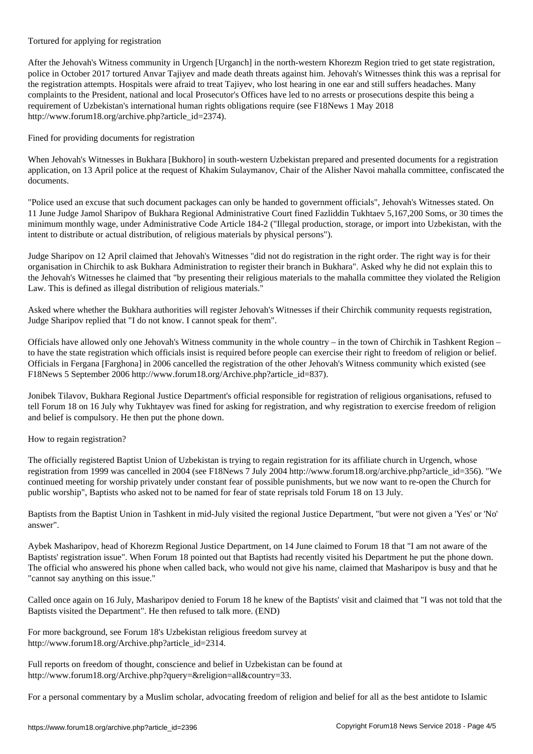To the contract for  $\alpha$ 

After the Jehovah's Witness community in Urgench [Urganch] in the north-western Khorezm Region tried to get state registration, police in October 2017 tortured Anvar Tajiyev and made death threats against him. Jehovah's Witnesses think this was a reprisal for the registration attempts. Hospitals were afraid to treat Tajiyev, who lost hearing in one ear and still suffers headaches. Many complaints to the President, national and local Prosecutor's Offices have led to no arrests or prosecutions despite this being a requirement of Uzbekistan's international human rights obligations require (see F18News 1 May 2018 http://www.forum18.org/archive.php?article\_id=2374).

Fined for providing documents for registration

When Jehovah's Witnesses in Bukhara [Bukhoro] in south-western Uzbekistan prepared and presented documents for a registration application, on 13 April police at the request of Khakim Sulaymanov, Chair of the Alisher Navoi mahalla committee, confiscated the documents.

"Police used an excuse that such document packages can only be handed to government officials", Jehovah's Witnesses stated. On 11 June Judge Jamol Sharipov of Bukhara Regional Administrative Court fined Fazliddin Tukhtaev 5,167,200 Soms, or 30 times the minimum monthly wage, under Administrative Code Article 184-2 ("Illegal production, storage, or import into Uzbekistan, with the intent to distribute or actual distribution, of religious materials by physical persons").

Judge Sharipov on 12 April claimed that Jehovah's Witnesses "did not do registration in the right order. The right way is for their organisation in Chirchik to ask Bukhara Administration to register their branch in Bukhara". Asked why he did not explain this to the Jehovah's Witnesses he claimed that "by presenting their religious materials to the mahalla committee they violated the Religion Law. This is defined as illegal distribution of religious materials."

Asked where whether the Bukhara authorities will register Jehovah's Witnesses if their Chirchik community requests registration, Judge Sharipov replied that "I do not know. I cannot speak for them".

Officials have allowed only one Jehovah's Witness community in the whole country – in the town of Chirchik in Tashkent Region – to have the state registration which officials insist is required before people can exercise their right to freedom of religion or belief. Officials in Fergana [Farghona] in 2006 cancelled the registration of the other Jehovah's Witness community which existed (see F18News 5 September 2006 http://www.forum18.org/Archive.php?article\_id=837).

Jonibek Tilavov, Bukhara Regional Justice Department's official responsible for registration of religious organisations, refused to tell Forum 18 on 16 July why Tukhtayev was fined for asking for registration, and why registration to exercise freedom of religion and belief is compulsory. He then put the phone down.

How to regain registration?

The officially registered Baptist Union of Uzbekistan is trying to regain registration for its affiliate church in Urgench, whose registration from 1999 was cancelled in 2004 (see F18News 7 July 2004 http://www.forum18.org/archive.php?article\_id=356). "We continued meeting for worship privately under constant fear of possible punishments, but we now want to re-open the Church for public worship", Baptists who asked not to be named for fear of state reprisals told Forum 18 on 13 July.

Baptists from the Baptist Union in Tashkent in mid-July visited the regional Justice Department, "but were not given a 'Yes' or 'No' answer".

Aybek Masharipov, head of Khorezm Regional Justice Department, on 14 June claimed to Forum 18 that "I am not aware of the Baptists' registration issue". When Forum 18 pointed out that Baptists had recently visited his Department he put the phone down. The official who answered his phone when called back, who would not give his name, claimed that Masharipov is busy and that he "cannot say anything on this issue."

Called once again on 16 July, Masharipov denied to Forum 18 he knew of the Baptists' visit and claimed that "I was not told that the Baptists visited the Department". He then refused to talk more. (END)

For more background, see Forum 18's Uzbekistan religious freedom survey at http://www.forum18.org/Archive.php?article\_id=2314.

Full reports on freedom of thought, conscience and belief in Uzbekistan can be found at http://www.forum18.org/Archive.php?query=&religion=all&country=33.

For a personal commentary by a Muslim scholar, advocating freedom of religion and belief for all as the best antidote to Islamic